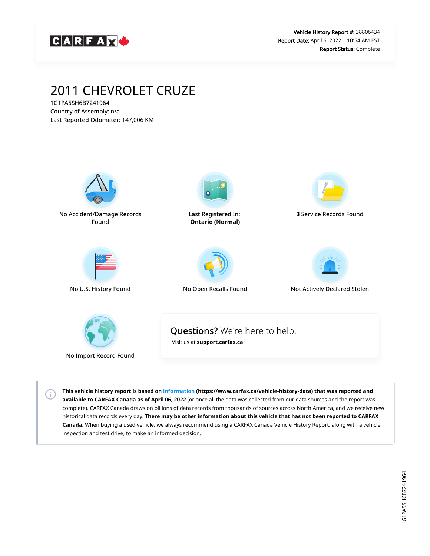

# 2011 CHEVROLET CRUZE

1G1PA5SH6B7241964 Country of Assembly: n/a Last Reported Odometer: 147,006 KM

 $\left( \left. \cdot \right) \right)$ 



**This vehicle history report is based on [information](https://www.carfax.ca/vehicle-history-data) (https://www.carfax.ca/vehicle-history-data) that was reported and available to CARFAX Canada as of April 06, 2022** (or once all the data was collected from our data sources and the report was complete). CARFAX Canada draws on billions of data records from thousands of sources across North America, and we receive new historical data records every day. **There may be other information about this vehicle that has not been reported to CARFAX Canada.** When buying a used vehicle, we always recommend using a CARFAX Canada Vehicle History Report, along with a vehicle inspection and test drive, to make an informed decision.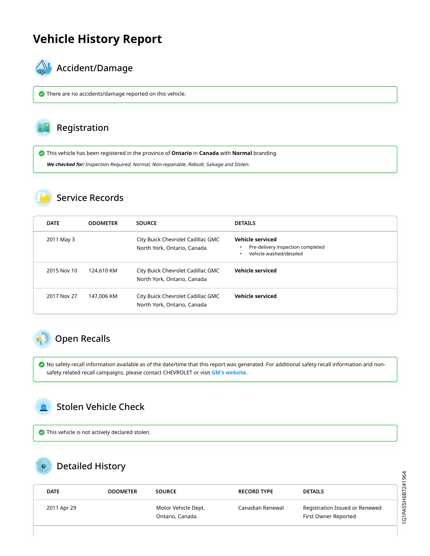## **Vehicle History Report**



### $\mathbb{A}_{\mathbb{A}}$  Accident/Damage

There are no accidents/damage reported on this vehicle.

#### Registration

This vehicle has been registered in the province of **Ontario** in **Canada** with **Normal** branding.

**We checked for:** Inspection Required, Normal, Non-repairable, Rebuilt, Salvage and Stolen.

#### Service Records

| <b>DATE</b> | <b>ODOMETER</b> | <b>SOURCE</b>                                                    | <b>DETAILS</b>                                                                                       |
|-------------|-----------------|------------------------------------------------------------------|------------------------------------------------------------------------------------------------------|
| 2011 May 3  |                 | City Buick Chevrolet Cadillac GMC<br>North York, Ontario, Canada | <b>Vehicle serviced</b><br>Pre-delivery inspection completed<br>$\bullet$<br>Vehicle washed/detailed |
| 2015 Nov 10 | 124,610 KM      | City Buick Chevrolet Cadillac GMC<br>North York, Ontario, Canada | Vehicle serviced                                                                                     |
| 2017 Nov 27 | 147,006 KM      | City Buick Chevrolet Cadillac GMC<br>North York, Ontario, Canada | <b>Vehicle serviced</b>                                                                              |

## <span id="page-1-0"></span>Open Recalls

 No safety recall information available as of the date/time that this report was generated. For additional safety recall information and nonsafety related recall campaigns, please contact CHEVROLET or visit **[GM's website.](https://my.gm.ca/gm/en/recalls#%2F)**

### <span id="page-1-1"></span>Stolen Vehicle Check

This vehicle is not actively declared stolen.

## Detailed History

| <b>DATE</b> | <b>ODOMETER</b> | <b>SOURCE</b>                          | <b>RECORD TYPE</b> | <b>DETAILS</b>                                         |
|-------------|-----------------|----------------------------------------|--------------------|--------------------------------------------------------|
| 2011 Apr 29 |                 | Motor Vehicle Dept.<br>Ontario, Canada | Canadian Renewal   | Registration Issued or Renewed<br>First Owner Reported |